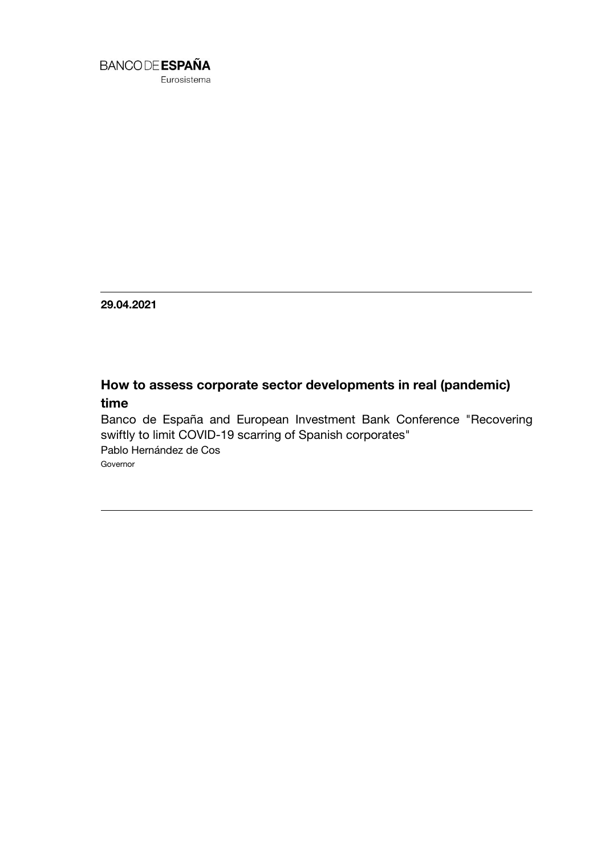

Eurosistema

**29.04.2021**

## **How to assess corporate sector developments in real (pandemic) time**

Banco de España and European Investment Bank Conference "Recovering swiftly to limit COVID-19 scarring of Spanish corporates" Pablo Hernández de Cos Governor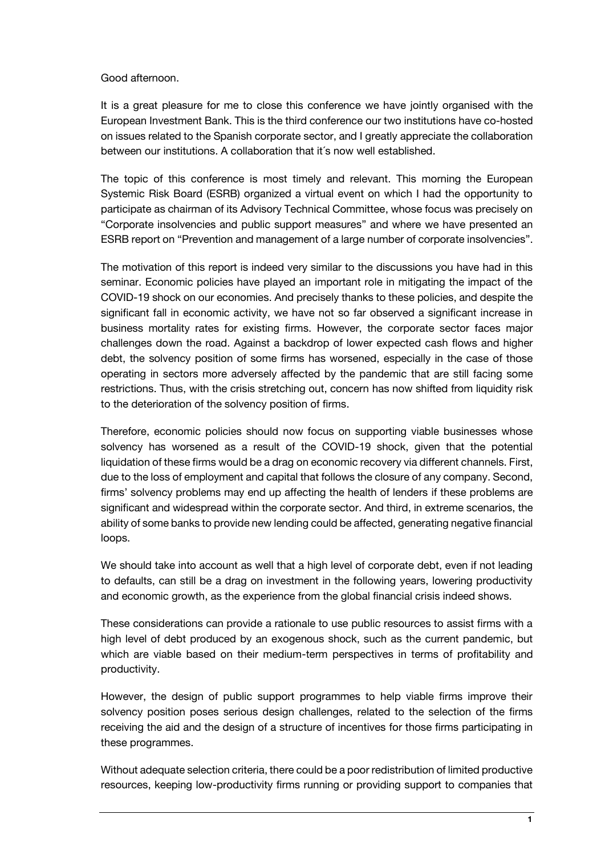## Good afternoon.

It is a great pleasure for me to close this conference we have jointly organised with the European Investment Bank. This is the third conference our two institutions have co-hosted on issues related to the Spanish corporate sector, and I greatly appreciate the collaboration between our institutions. A collaboration that it´s now well established.

The topic of this conference is most timely and relevant. This morning the European Systemic Risk Board (ESRB) organized a virtual event on which I had the opportunity to participate as chairman of its Advisory Technical Committee, whose focus was precisely on "Corporate insolvencies and public support measures" and where we have presented an ESRB report on "Prevention and management of a large number of corporate insolvencies".

The motivation of this report is indeed very similar to the discussions you have had in this seminar. Economic policies have played an important role in mitigating the impact of the COVID-19 shock on our economies. And precisely thanks to these policies, and despite the significant fall in economic activity, we have not so far observed a significant increase in business mortality rates for existing firms. However, the corporate sector faces major challenges down the road. Against a backdrop of lower expected cash flows and higher debt, the solvency position of some firms has worsened, especially in the case of those operating in sectors more adversely affected by the pandemic that are still facing some restrictions. Thus, with the crisis stretching out, concern has now shifted from liquidity risk to the deterioration of the solvency position of firms.

Therefore, economic policies should now focus on supporting viable businesses whose solvency has worsened as a result of the COVID-19 shock, given that the potential liquidation of these firms would be a drag on economic recovery via different channels. First, due to the loss of employment and capital that follows the closure of any company. Second, firms' solvency problems may end up affecting the health of lenders if these problems are significant and widespread within the corporate sector. And third, in extreme scenarios, the ability of some banks to provide new lending could be affected, generating negative financial loops.

We should take into account as well that a high level of corporate debt, even if not leading to defaults, can still be a drag on investment in the following years, lowering productivity and economic growth, as the experience from the global financial crisis indeed shows.

These considerations can provide a rationale to use public resources to assist firms with a high level of debt produced by an exogenous shock, such as the current pandemic, but which are viable based on their medium-term perspectives in terms of profitability and productivity.

However, the design of public support programmes to help viable firms improve their solvency position poses serious design challenges, related to the selection of the firms receiving the aid and the design of a structure of incentives for those firms participating in these programmes.

Without adequate selection criteria, there could be a poor redistribution of limited productive resources, keeping low-productivity firms running or providing support to companies that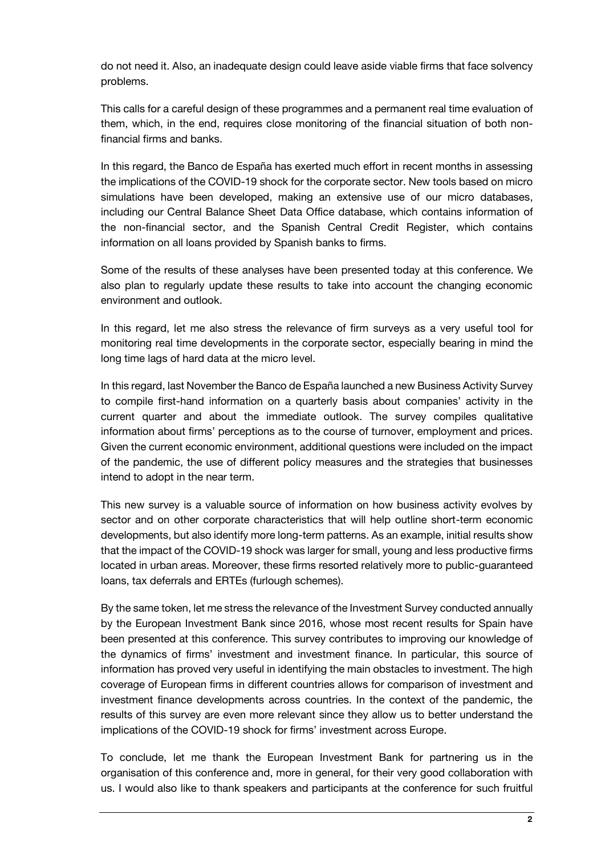do not need it. Also, an inadequate design could leave aside viable firms that face solvency problems.

This calls for a careful design of these programmes and a permanent real time evaluation of them, which, in the end, requires close monitoring of the financial situation of both nonfinancial firms and banks.

In this regard, the Banco de España has exerted much effort in recent months in assessing the implications of the COVID-19 shock for the corporate sector. New tools based on micro simulations have been developed, making an extensive use of our micro databases, including our Central Balance Sheet Data Office database, which contains information of the non-financial sector, and the Spanish Central Credit Register, which contains information on all loans provided by Spanish banks to firms.

Some of the results of these analyses have been presented today at this conference. We also plan to regularly update these results to take into account the changing economic environment and outlook.

In this regard, let me also stress the relevance of firm surveys as a very useful tool for monitoring real time developments in the corporate sector, especially bearing in mind the long time lags of hard data at the micro level.

In this regard, last November the Banco de España launched a new Business Activity Survey to compile first-hand information on a quarterly basis about companies' activity in the current quarter and about the immediate outlook. The survey compiles qualitative information about firms' perceptions as to the course of turnover, employment and prices. Given the current economic environment, additional questions were included on the impact of the pandemic, the use of different policy measures and the strategies that businesses intend to adopt in the near term.

This new survey is a valuable source of information on how business activity evolves by sector and on other corporate characteristics that will help outline short-term economic developments, but also identify more long-term patterns. As an example, initial results show that the impact of the COVID-19 shock was larger for small, young and less productive firms located in urban areas. Moreover, these firms resorted relatively more to public-guaranteed loans, tax deferrals and ERTEs (furlough schemes).

By the same token, let me stress the relevance of the Investment Survey conducted annually by the European Investment Bank since 2016, whose most recent results for Spain have been presented at this conference. This survey contributes to improving our knowledge of the dynamics of firms' investment and investment finance. In particular, this source of information has proved very useful in identifying the main obstacles to investment. The high coverage of European firms in different countries allows for comparison of investment and investment finance developments across countries. In the context of the pandemic, the results of this survey are even more relevant since they allow us to better understand the implications of the COVID-19 shock for firms' investment across Europe.

To conclude, let me thank the European Investment Bank for partnering us in the organisation of this conference and, more in general, for their very good collaboration with us. I would also like to thank speakers and participants at the conference for such fruitful